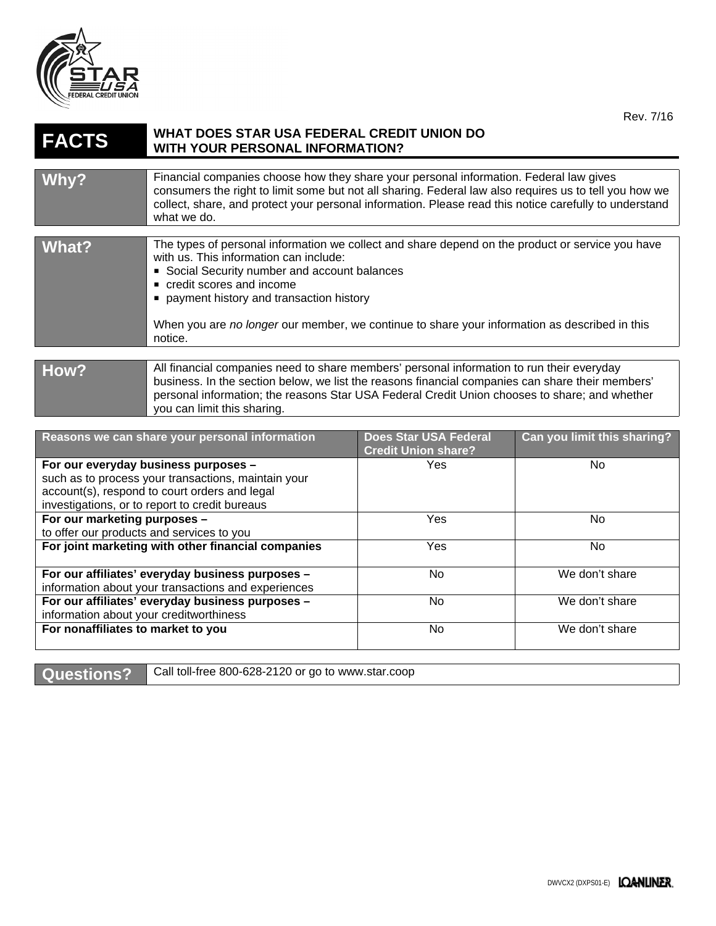

## **FACTS WHAT DOES STAR USA FEDERAL CREDIT UNION DO WITH YOUR PERSONAL INFORMATION?**

| Why?  | Financial companies choose how they share your personal information. Federal law gives<br>consumers the right to limit some but not all sharing. Federal law also requires us to tell you how we<br>collect, share, and protect your personal information. Please read this notice carefully to understand<br>what we do.                                                          |
|-------|------------------------------------------------------------------------------------------------------------------------------------------------------------------------------------------------------------------------------------------------------------------------------------------------------------------------------------------------------------------------------------|
|       |                                                                                                                                                                                                                                                                                                                                                                                    |
| What? | The types of personal information we collect and share depend on the product or service you have<br>with us. This information can include:<br>• Social Security number and account balances<br>• credit scores and income<br>■ payment history and transaction history<br>When you are no longer our member, we continue to share your information as described in this<br>notice. |
|       |                                                                                                                                                                                                                                                                                                                                                                                    |
|       |                                                                                                                                                                                                                                                                                                                                                                                    |
| How?  | All financial companies need to share members' personal information to run their everyday<br>business. In the section below, we list the reasons financial companies can share their members'                                                                                                                                                                                      |

## personal information; the reasons Star USA Federal Credit Union chooses to share; and whether you can limit this sharing.

| Reasons we can share your personal information      | <b>Does Star USA Federal</b><br><b>Credit Union share?</b> | Can you limit this sharing? |
|-----------------------------------------------------|------------------------------------------------------------|-----------------------------|
| For our everyday business purposes -                | Yes.                                                       | No.                         |
| such as to process your transactions, maintain your |                                                            |                             |
| account(s), respond to court orders and legal       |                                                            |                             |
| investigations, or to report to credit bureaus      |                                                            |                             |
| For our marketing purposes -                        | Yes                                                        | No.                         |
| to offer our products and services to you           |                                                            |                             |
| For joint marketing with other financial companies  | <b>Yes</b>                                                 | No.                         |
|                                                     |                                                            |                             |
| For our affiliates' everyday business purposes -    | No.                                                        | We don't share              |
| information about your transactions and experiences |                                                            |                             |
| For our affiliates' everyday business purposes -    | No.                                                        | We don't share              |
| information about your creditworthiness             |                                                            |                             |
| For nonaffiliates to market to you                  | No.                                                        | We don't share              |
|                                                     |                                                            |                             |

Questions? Call toll-free 800-628-2120 or go to www.star.coop